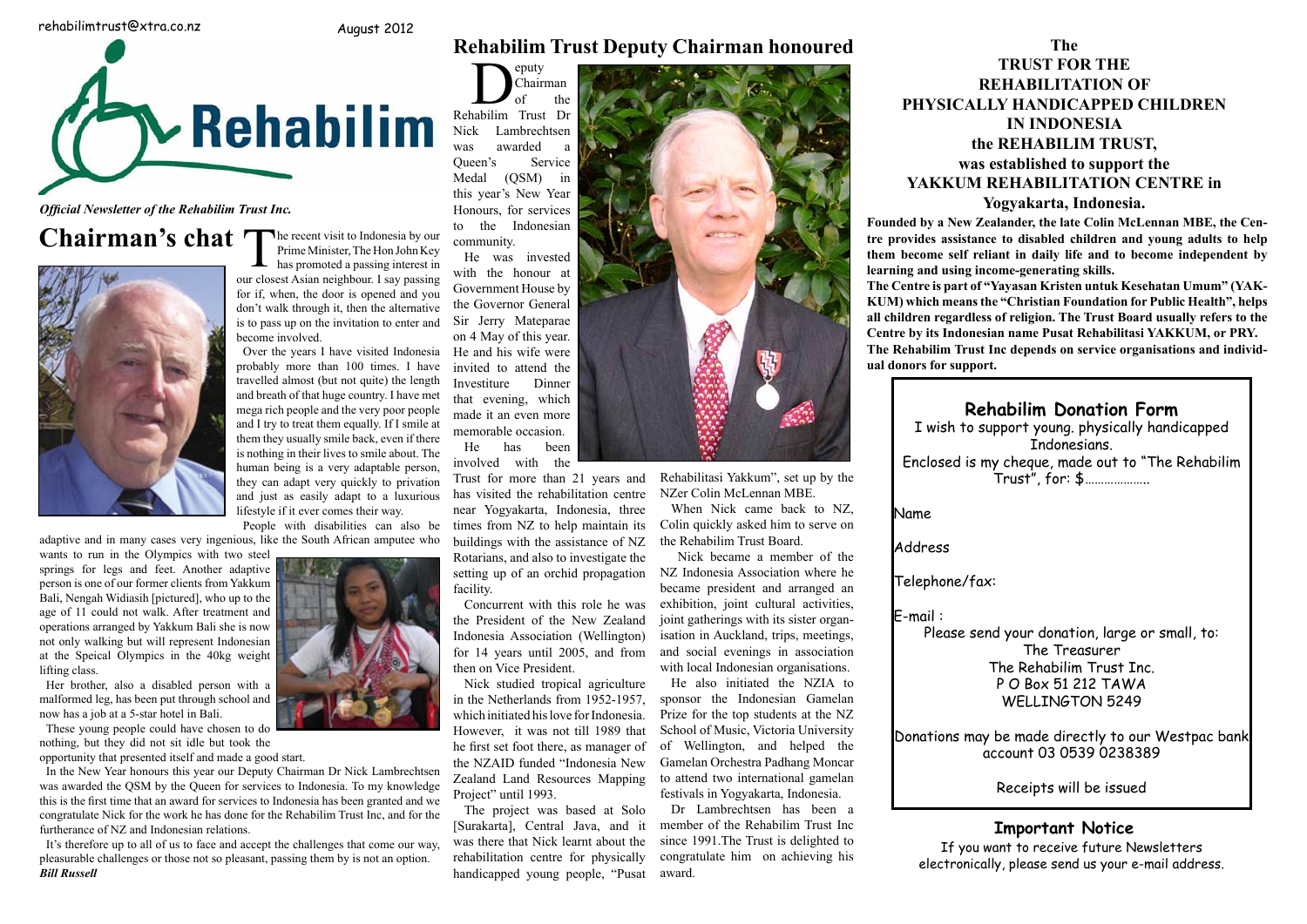**to overcome such daunting challenges really**  Nick became a member of the became president and arranged an **parameter**  $\lim_{n \to \infty} \lim_{n \to \infty} \frac{d}{dx}$  $\epsilon$  shibition, joint cultural activities, joint gatherings with its sister organisation in Auckland, trips, meetings, **Place Indonesial in** *i***n** *i***ncernation, in post, incerning.** and social evenings in association with local Indonesian organisations.

He also initiated the NZIA to  $\frac{1}{2}$   $\frac{1}{2}$   $\frac{1}{2}$   $\frac{1}{2}$   $\frac{1}{2}$   $\frac{1}{2}$   $\frac{1}{2}$   $\frac{1}{2}$ sponsor the Indonesian Gamelan **Fixed for the top students at the NZ the Community of Music Victoria University School of Music, Victoria University Donati** of Wellington, and helped the **the spontant and definition** account 03.0539 Gamelan Orchestra Padhang Moncar **Groups and Support from groups** such as the **Germany** Germany Support of  $\overline{a}$ to attend two international gamelan festivals in Yogyakarta, Indonesia. **Australian als contribute Receipis will be** 



Rehabilitasi Yakkum", set up by the **NZer Colin McLennan MBE.** 

**the sum was suppose in the superior in the suppose in the suppose in the suppose in the suppose in the suppose** When Nick came back to NZ, **Name** Colin quickly asked him to serve on the Rehabilim Trust Board. **Address** 



**days. Meantime the fund has grown through the compounding of**  adaptive and in many cases very ingenious, like the South African amputee who

wants to run in the Olympics with two steel person is one of our former clients from Yakkum **Look for the first recipient of the Figure 1** Bali, Nengah Widiasih [pictured], who up to the Lett, *i* vergan *withalism* [pretared<sub>1</sub>], who ap to the age of 11 could not walk. After treatment and **operations arranged by Yakkum Bali she is now** Many of the Special Olympics in the 40kg at the Speical Olympics in the 40kg weight lifting class. springs for legs and feet. Another adaptive not only walking but will represent Indonesian person is one of our former clients from Yakku<br>Bali, Nengah Widiasih [pictured], who up to th<br>age of 11 could not walk. After treatment an challenges. During a recent Bali Nepster Bali Nepster Bali Nepster Bali Nepster Bali Menosh **Balance here** is a motorcycle and in a motorcycle and in a motorcycle and  $\frac{1}{2}$ Belical Olympics in the Toke weight **Wayan was a chance of reduced by**  $\mathbb{R}^n$  **and**  $\mathbb{R}^n$  **and**  $\mathbb{R}^n$  **and**  $\mathbb{R}^n$  **and**  $\mathbb{R}^n$  **and**  $\mathbb{R}^n$  **and**  $\mathbb{R}^n$  **and**  $\mathbb{R}^n$  **and**  $\mathbb{R}^n$  **and**  $\mathbb{R}^n$  **and**  $\mathbb{R}^n$  **and**  $\mathbb{R}^n$  **and \mathbb{R}^** 

**and with disabilim** Enclosed is my cheque, made out to "The Rehabilim" Trust", for: \$………………..

aturate film on achieving firs **the electronically, please send us your e-mail address.** If you want to receive future Newsletters

**Any** *Evidentian Centre by its Indonesian name Pusat Rehabilitasi YAKKUM, or PRY.* **The Rehabilim Trust Inc depends on service organisations and individ-Ni New York Widter Widter Widter Widter Widter Widter Widter Widter Widter Widter Widter Widter Widter Widter Widter Widter Widter Widter Widter Widter Widter Widter Widter Widter Widter Widter Widter Widter Widter Widter All children regardless of religion. The Trust Board usually refers to the The Centre is part of "Yayasan Kristen untuk Kesehatan Umum" (YAK-**

## **Pagain Transful Transful transful transful transful transful transful transful transful transful transful transful transful transful transful transful transful transful transful transful transful transful transful transfu**

**New York Center (20) return in the U.S. I wish to support young. physically handicapped** 

**Chairman's chat**<br>
The recent visit to Indonesia by our<br>
Insect Asian paisbbour Leav passing Prime Minister, The Hon John Key **A** has promoted a passing interest in our closest Asian neighbour. I say passing for if, when, the door is opened and you don't walk through it, then the alternative is to pass up on the invitation to enter and become involved.

them they usually smile back, even if there  $\frac{H[\text{H}]}{H}$  is the set the set of the  $\frac{H[\text{H}]}{H}$ is nothing in their lives to smile about. The In their lives to similar about. The second involved with the being is a very adaptable person, **Hollowing the ward and the yeard down** adapt very quickly to privation Trust for more than 21 years and Reha they can adapt very quickly to privation I rust for more than 21 years and Rena and just as easily adapt to a luxurious has visite a very hard way was well at that example that  $e^{\lambda}$ mega rich people and the very poor people Over the years I have visited Indonesia probably more than 100 times. I have travelled almost (but not quite) the length and breath of that huge country. I have met and I try to treat them equally. If I smile at human being is a very adaptable person, lifestyle if it ever comes their way.

People with disabilities can also be times from NZ

Her brother, also a disabled person with a malformed leg, has been put through school and **EXECUTE:** 1. The domestion of the distribution of  $\alpha$  now has a job at a 5-star hotel in Bali. **find out.**

These young people could have chosen to do nothing, but they did not sit idle but took the

coming, our may are not be seen to know me.<br>
opportunity that presented itself and made a good start.

**w** state.  $\theta$  has  $\theta$  is the big beginning the  $\theta$ In the New Year honours this year our Deputy Chairman Dr Nick Lambrechtsen was awarded the QSM by the Queen for services to Indonesia. To my knowledge  $\frac{Z}{2}$   $\frac{Z}{2}$   $\frac{Z}{2}$   $\frac{Z}{2}$   $\frac{Z}{2}$   $\frac{Z}{2}$   $\frac{Z}{2}$   $\frac{Z}{2}$   $\frac{Z}{2}$   $\frac{Z}{2}$   $\frac{Z}{2}$   $\frac{Z}{2}$   $\frac{Z}{2}$   $\frac{Z}{2}$   $\frac{Z$ this is the first time that an award for services to Indonesia has been granted and we Project" until 1993. **the Republic Equipment Community** congratulate Nick for the work he has done for the Rehabilim Trust Inc, and for the **part of Bali. Nenga's lower body was**  furtherance of NZ and Indonesian relations. New Year honours this year our Deputy Chairman Dr Nick Lambrechtsen *Zealand Land Resources* **drive from Sanura From Sanura Box 3.12 and 3.13 and 3.14 and 3.14 and 3.14 and 3.14 and 3.14 and 3.14 and 3.14 and 3.14 and 3.14 and 3.14 and 3.14 and 3.14 and 3.14 and 3.14 and 3.14 and 3.14 and 3.14 and 3.14 and 3.14 an** 

It's therefore up to all of us to face and accept the challenges that come our way, was the pleasurable challenges or those not so pleasant, passing them by is not an option. Phenab **shorter than the other with the mus-**It's therefore up to all of us to face and accept the challenges that come our way, **May I take this opportunity to wish you all a merry Christ-***Bill Russell* production changes of those not so product **growing vegetables, rice and fruit.**

**Nenga "pumps iron"!** Donations may be made directly to our Westpac bank account 03 0539 0238389

If two international gaineral **State of the state of the secure of the second vertex** in Yogyakarta Indonesia

Name Address Telephone/fax: E-mail :

Please send your donation, large or small, to: The Treasurer The Rehabilim Trust Inc. P O Box 51 212 TAWA WELLINGTON 5249

**The** 

**TRUST FOR THE**

**REHABILITATION OF**

**PHYSICALLY HANDICAPPED CHILDREN IN INDONESIA**

**the REHABILIM TRUST,**

**was established to support the**

**YAKKUM REHABILITATION CENTRE in** 

## **Yogyakarta, Indonesia.**

**Founded by a New Zealander, the late Colin McLennan MBE, the Centre provides assistance to disabled children and young adults to help them become self reliant in daily life and to become independent by learning and using income-generating skills.**

this year's New Year **Rehability** Trust through *References* to the Indonesian **Balling Community.** of the **A** Puty<br>
Ochairman<br>
Rehabilim Trust Dr Chairman Nick Lambrechtsen was awarded a Queen's Service

with the honour at **the solution** Government House by **the Governor General** Sir Jerry Mateparae **Come to know we have a** on 4 May of this year. **Putual Hermand his wife were** invited to attend the **intervalled** up to **invited** to *attend* the **intervalled Dinner** that evening, which **that of a part of the see a part of the see a** part of **a** made it an even more Investiture



# **Chairman's chat**

**the oriental and indonesia Association (Wellington)** the President of the New Zealand for 14 years until 2005, and from then on Vice President.

**External However, it was not till 1989 that** S **disabled young people. Here I was to**  bany such children are not considered and the NZAID funded "Indonesia New Constanting Constanting Constanting Constanting Constanting Constanting Constanting Constanting Constanting Constanting Constanting Constanting Cons he first set foot there, as manager of Nick studied tropical agriculture in the Netherlands from 1952-1957, which initiated his love for Indonesia. Zealand Land Resources Mapping Project" until 1993.

**b broth handicapped young people, "Pusat** Indonesia has been granted and we **the family if the project** was based at Solo **Yakkarta**], Central Java, and it **m** t the challenges that come our way, was there that Nick learnt about the site Figure in the contract of the set of the set of the set of the set of the set of the set of the set of the set of the set of the set of the set of the set of the set of the set of the set of the set of the set of the set o ssing them by is not an option. **rehabilitation** centre for physically controlled by is not an option.

Dr Lambrechtsen has been a member of the Rehabilim Trust Inc **Important No maintaining the Rehabilim Trust Inc. See All a fourth from Holland has spent two years of the Rehabilim Trust Inc.** since 1991.The Trust is delighted to **It you want to receive full congratulate him on achieving his disabilities, who live in a world where a disability of any kind makes them**  award.



He has been

it ever comes their way. **hear** Yogyakarta, Indonesia, three W e with disabilities can also be times from NZ to help maintain its Coli he South African amputee who buildings with the assistance of NZ the **courage Way and School School School School School School School School School School School School School School School School School School School School School School School School School School School School School Sc after the centre in Tourism**, and also to investigate the  $\frac{1}{2}$ **nexta**, **New Solution** setting up of an orchid propagation NZ Indonesia Association where he